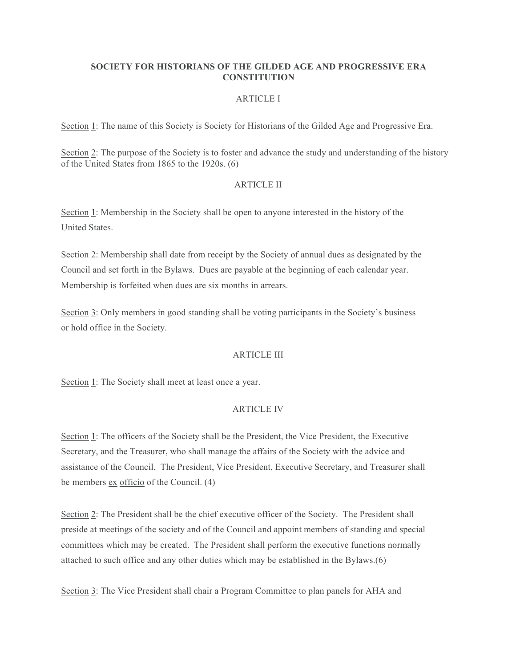# **SOCIETY FOR HISTORIANS OF THE GILDED AGE AND PROGRESSIVE ERA CONSTITUTION**

## ARTICLE I

Section 1: The name of this Society is Society for Historians of the Gilded Age and Progressive Era.

Section 2: The purpose of the Society is to foster and advance the study and understanding of the history of the United States from 1865 to the 1920s. (6)

#### ARTICLE II

Section 1: Membership in the Society shall be open to anyone interested in the history of the United States.

Section 2: Membership shall date from receipt by the Society of annual dues as designated by the Council and set forth in the Bylaws. Dues are payable at the beginning of each calendar year. Membership is forfeited when dues are six months in arrears.

Section 3: Only members in good standing shall be voting participants in the Society's business or hold office in the Society.

### ARTICLE III

Section 1: The Society shall meet at least once a year.

### ARTICLE IV

Section 1: The officers of the Society shall be the President, the Vice President, the Executive Secretary, and the Treasurer, who shall manage the affairs of the Society with the advice and assistance of the Council. The President, Vice President, Executive Secretary, and Treasurer shall be members ex officio of the Council. (4)

Section 2: The President shall be the chief executive officer of the Society. The President shall preside at meetings of the society and of the Council and appoint members of standing and special committees which may be created. The President shall perform the executive functions normally attached to such office and any other duties which may be established in the Bylaws.(6)

Section 3: The Vice President shall chair a Program Committee to plan panels for AHA and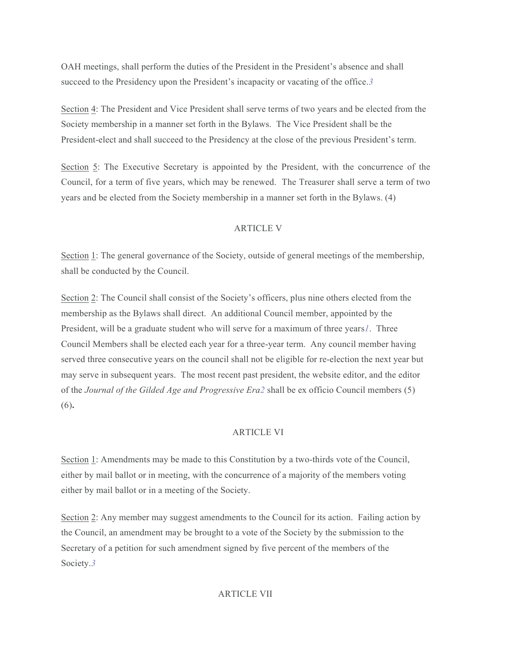OAH meetings, shall perform the duties of the President in the President's absence and shall succeed to the Presidency upon the President's incapacity or vacating of the office.*3*

Section 4: The President and Vice President shall serve terms of two years and be elected from the Society membership in a manner set forth in the Bylaws. The Vice President shall be the President-elect and shall succeed to the Presidency at the close of the previous President's term.

Section 5: The Executive Secretary is appointed by the President, with the concurrence of the Council, for a term of five years, which may be renewed. The Treasurer shall serve a term of two years and be elected from the Society membership in a manner set forth in the Bylaws. (4)

# ARTICLE V

Section 1: The general governance of the Society, outside of general meetings of the membership, shall be conducted by the Council.

Section 2: The Council shall consist of the Society's officers, plus nine others elected from the membership as the Bylaws shall direct. An additional Council member, appointed by the President, will be a graduate student who will serve for a maximum of three years*1*. Three Council Members shall be elected each year for a three-year term. Any council member having served three consecutive years on the council shall not be eligible for re-election the next year but may serve in subsequent years. The most recent past president, the website editor, and the editor of the *Journal of the Gilded Age and Progressive Era2* shall be ex officio Council members (5) (6)**.**

# ARTICLE VI

Section 1: Amendments may be made to this Constitution by a two-thirds vote of the Council, either by mail ballot or in meeting, with the concurrence of a majority of the members voting either by mail ballot or in a meeting of the Society.

Section 2: Any member may suggest amendments to the Council for its action. Failing action by the Council, an amendment may be brought to a vote of the Society by the submission to the Secretary of a petition for such amendment signed by five percent of the members of the Society.*3*

# ARTICLE VII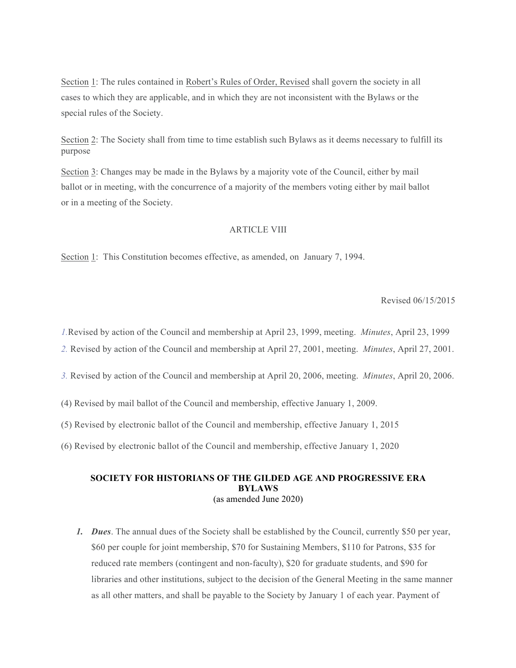Section 1: The rules contained in Robert's Rules of Order, Revised shall govern the society in all cases to which they are applicable, and in which they are not inconsistent with the Bylaws or the special rules of the Society.

Section 2: The Society shall from time to time establish such Bylaws as it deems necessary to fulfill its purpose

Section 3: Changes may be made in the Bylaws by a majority vote of the Council, either by mail ballot or in meeting, with the concurrence of a majority of the members voting either by mail ballot or in a meeting of the Society.

# ARTICLE VIII

Section 1: This Constitution becomes effective, as amended, on January 7, 1994.

#### Revised 06/15/2015

*1.*Revised by action of the Council and membership at April 23, 1999, meeting. *Minutes*, April 23, 1999

- *2.* Revised by action of the Council and membership at April 27, 2001, meeting. *Minutes*, April 27, 2001.
- *3.* Revised by action of the Council and membership at April 20, 2006, meeting. *Minutes*, April 20, 2006.
- (4) Revised by mail ballot of the Council and membership, effective January 1, 2009.
- (5) Revised by electronic ballot of the Council and membership, effective January 1, 2015
- (6) Revised by electronic ballot of the Council and membership, effective January 1, 2020

### **SOCIETY FOR HISTORIANS OF THE GILDED AGE AND PROGRESSIVE ERA BYLAWS** (as amended June 2020)

*1. Dues*. The annual dues of the Society shall be established by the Council, currently \$50 per year, \$60 per couple for joint membership, \$70 for Sustaining Members, \$110 for Patrons, \$35 for reduced rate members (contingent and non-faculty), \$20 for graduate students, and \$90 for libraries and other institutions, subject to the decision of the General Meeting in the same manner as all other matters, and shall be payable to the Society by January 1 of each year. Payment of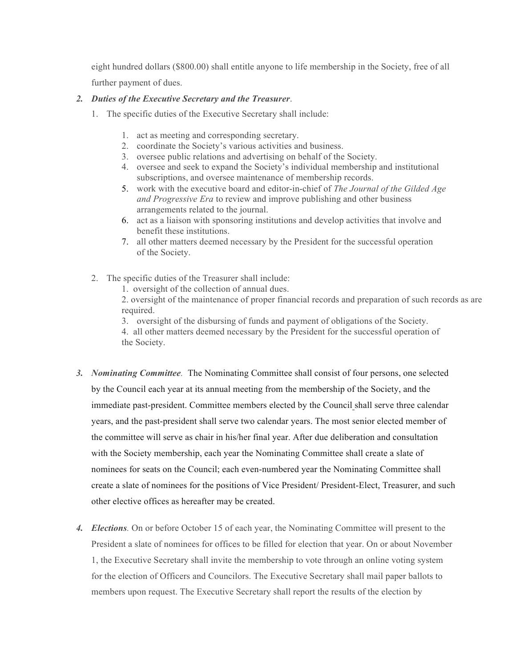eight hundred dollars (\$800.00) shall entitle anyone to life membership in the Society, free of all further payment of dues.

# *2. Duties of the Executive Secretary and the Treasurer*.

- 1. The specific duties of the Executive Secretary shall include:
	- 1. act as meeting and corresponding secretary.
	- 2. coordinate the Society's various activities and business.
	- 3. oversee public relations and advertising on behalf of the Society.
	- 4. oversee and seek to expand the Society's individual membership and institutional subscriptions, and oversee maintenance of membership records.
	- 5. work with the executive board and editor-in-chief of *The Journal of the Gilded Age and Progressive Era* to review and improve publishing and other business arrangements related to the journal.
	- 6. act as a liaison with sponsoring institutions and develop activities that involve and benefit these institutions.
	- 7. all other matters deemed necessary by the President for the successful operation of the Society.
- 2. The specific duties of the Treasurer shall include:
	- 1. oversight of the collection of annual dues.

2. oversight of the maintenance of proper financial records and preparation of such records as are required.

3. oversight of the disbursing of funds and payment of obligations of the Society.

4. all other matters deemed necessary by the President for the successful operation of the Society.

- *3. Nominating Committee.* The Nominating Committee shall consist of four persons, one selected by the Council each year at its annual meeting from the membership of the Society, and the immediate past-president. Committee members elected by the Council shall serve three calendar years, and the past-president shall serve two calendar years. The most senior elected member of the committee will serve as chair in his/her final year. After due deliberation and consultation with the Society membership, each year the Nominating Committee shall create a slate of nominees for seats on the Council; each even-numbered year the Nominating Committee shall create a slate of nominees for the positions of Vice President/ President-Elect, Treasurer, and such other elective offices as hereafter may be created.
- *4. Elections.* On or before October 15 of each year, the Nominating Committee will present to the President a slate of nominees for offices to be filled for election that year. On or about November 1, the Executive Secretary shall invite the membership to vote through an online voting system for the election of Officers and Councilors. The Executive Secretary shall mail paper ballots to members upon request. The Executive Secretary shall report the results of the election by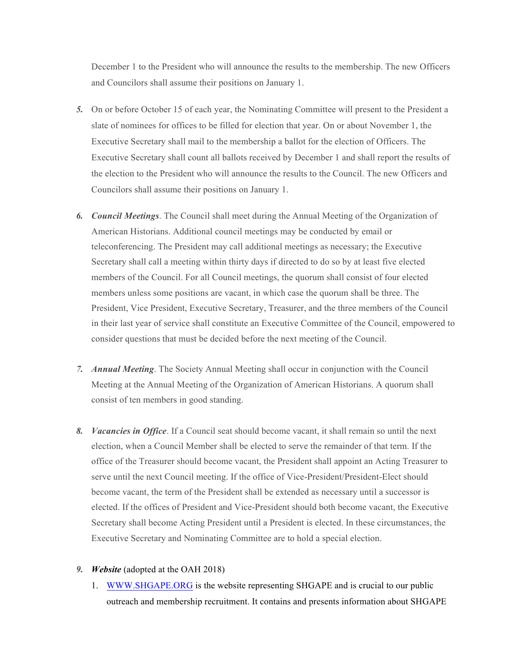December 1 to the President who will announce the results to the membership. The new Officers and Councilors shall assume their positions on January 1.

- *5.* On or before October 15 of each year, the Nominating Committee will present to the President a slate of nominees for offices to be filled for election that year. On or about November 1, the Executive Secretary shall mail to the membership a ballot for the election of Officers. The Executive Secretary shall count all ballots received by December 1 and shall report the results of the election to the President who will announce the results to the Council. The new Officers and Councilors shall assume their positions on January 1.
- *6. Council Meetings*. The Council shall meet during the Annual Meeting of the Organization of American Historians. Additional council meetings may be conducted by email or teleconferencing. The President may call additional meetings as necessary; the Executive Secretary shall call a meeting within thirty days if directed to do so by at least five elected members of the Council. For all Council meetings, the quorum shall consist of four elected members unless some positions are vacant, in which case the quorum shall be three. The President, Vice President, Executive Secretary, Treasurer, and the three members of the Council in their last year of service shall constitute an Executive Committee of the Council, empowered to consider questions that must be decided before the next meeting of the Council.
- *7. Annual Meeting*. The Society Annual Meeting shall occur in conjunction with the Council Meeting at the Annual Meeting of the Organization of American Historians. A quorum shall consist of ten members in good standing.
- *8. Vacancies in Office*. If a Council seat should become vacant, it shall remain so until the next election, when a Council Member shall be elected to serve the remainder of that term. If the office of the Treasurer should become vacant, the President shall appoint an Acting Treasurer to serve until the next Council meeting. If the office of Vice-President/President-Elect should become vacant, the term of the President shall be extended as necessary until a successor is elected. If the offices of President and Vice-President should both become vacant, the Executive Secretary shall become Acting President until a President is elected. In these circumstances, the Executive Secretary and Nominating Committee are to hold a special election.

#### *9. Website* (adopted at the OAH 2018)

1. WWW.SHGAPE.ORG is the website representing SHGAPE and is crucial to our public outreach and membership recruitment. It contains and presents information about SHGAPE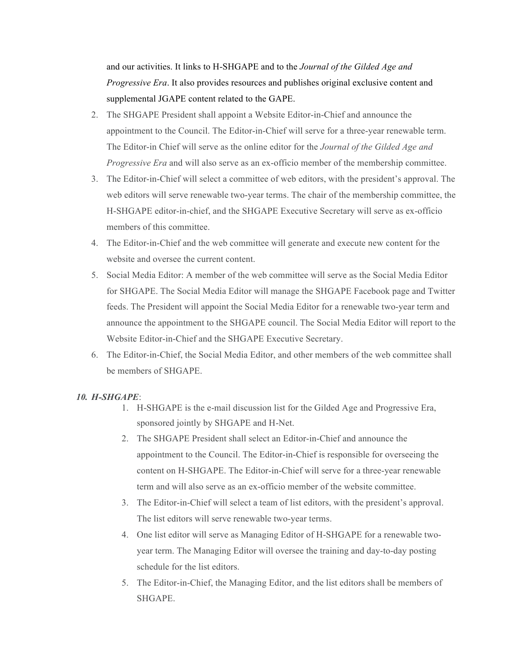and our activities. It links to H-SHGAPE and to the *Journal of the Gilded Age and Progressive Era*. It also provides resources and publishes original exclusive content and supplemental JGAPE content related to the GAPE.

- 2. The SHGAPE President shall appoint a Website Editor-in-Chief and announce the appointment to the Council. The Editor-in-Chief will serve for a three-year renewable term. The Editor-in Chief will serve as the online editor for the *Journal of the Gilded Age and Progressive Era* and will also serve as an ex-officio member of the membership committee.
- 3. The Editor-in-Chief will select a committee of web editors, with the president's approval. The web editors will serve renewable two-year terms. The chair of the membership committee, the H-SHGAPE editor-in-chief, and the SHGAPE Executive Secretary will serve as ex-officio members of this committee.
- 4. The Editor-in-Chief and the web committee will generate and execute new content for the website and oversee the current content.
- 5. Social Media Editor: A member of the web committee will serve as the Social Media Editor for SHGAPE. The Social Media Editor will manage the SHGAPE Facebook page and Twitter feeds. The President will appoint the Social Media Editor for a renewable two-year term and announce the appointment to the SHGAPE council. The Social Media Editor will report to the Website Editor-in-Chief and the SHGAPE Executive Secretary.
- 6. The Editor-in-Chief, the Social Media Editor, and other members of the web committee shall be members of SHGAPE.

# *10. H-SHGAPE*:

- 1. H-SHGAPE is the e-mail discussion list for the Gilded Age and Progressive Era, sponsored jointly by SHGAPE and H-Net.
- 2. The SHGAPE President shall select an Editor-in-Chief and announce the appointment to the Council. The Editor-in-Chief is responsible for overseeing the content on H-SHGAPE. The Editor-in-Chief will serve for a three-year renewable term and will also serve as an ex-officio member of the website committee.
- 3. The Editor-in-Chief will select a team of list editors, with the president's approval. The list editors will serve renewable two-year terms.
- 4. One list editor will serve as Managing Editor of H-SHGAPE for a renewable twoyear term. The Managing Editor will oversee the training and day-to-day posting schedule for the list editors.
- 5. The Editor-in-Chief, the Managing Editor, and the list editors shall be members of SHGAPE.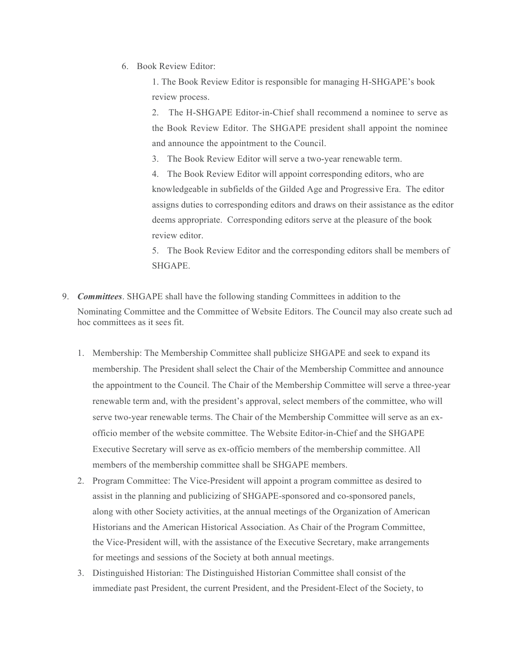6. Book Review Editor:

1. The Book Review Editor is responsible for managing H-SHGAPE's book review process.

2. The H-SHGAPE Editor-in-Chief shall recommend a nominee to serve as the Book Review Editor. The SHGAPE president shall appoint the nominee and announce the appointment to the Council.

3. The Book Review Editor will serve a two-year renewable term.

4. The Book Review Editor will appoint corresponding editors, who are knowledgeable in subfields of the Gilded Age and Progressive Era. The editor assigns duties to corresponding editors and draws on their assistance as the editor deems appropriate. Corresponding editors serve at the pleasure of the book review editor.

5. The Book Review Editor and the corresponding editors shall be members of SHGAPE.

- 9. *Committees*. SHGAPE shall have the following standing Committees in addition to the Nominating Committee and the Committee of Website Editors. The Council may also create such ad hoc committees as it sees fit.
	- 1. Membership: The Membership Committee shall publicize SHGAPE and seek to expand its membership. The President shall select the Chair of the Membership Committee and announce the appointment to the Council. The Chair of the Membership Committee will serve a three-year renewable term and, with the president's approval, select members of the committee, who will serve two-year renewable terms. The Chair of the Membership Committee will serve as an exofficio member of the website committee. The Website Editor-in-Chief and the SHGAPE Executive Secretary will serve as ex-officio members of the membership committee. All members of the membership committee shall be SHGAPE members.
	- 2. Program Committee: The Vice-President will appoint a program committee as desired to assist in the planning and publicizing of SHGAPE-sponsored and co-sponsored panels, along with other Society activities, at the annual meetings of the Organization of American Historians and the American Historical Association. As Chair of the Program Committee, the Vice-President will, with the assistance of the Executive Secretary, make arrangements for meetings and sessions of the Society at both annual meetings.
	- 3. Distinguished Historian: The Distinguished Historian Committee shall consist of the immediate past President, the current President, and the President-Elect of the Society, to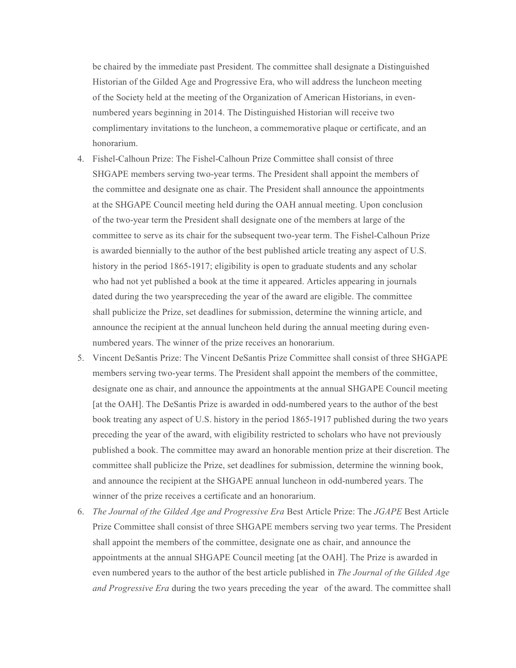be chaired by the immediate past President. The committee shall designate a Distinguished Historian of the Gilded Age and Progressive Era, who will address the luncheon meeting of the Society held at the meeting of the Organization of American Historians, in evennumbered years beginning in 2014. The Distinguished Historian will receive two complimentary invitations to the luncheon, a commemorative plaque or certificate, and an honorarium.

- 4. Fishel-Calhoun Prize: The Fishel-Calhoun Prize Committee shall consist of three SHGAPE members serving two-year terms. The President shall appoint the members of the committee and designate one as chair. The President shall announce the appointments at the SHGAPE Council meeting held during the OAH annual meeting. Upon conclusion of the two-year term the President shall designate one of the members at large of the committee to serve as its chair for the subsequent two-year term. The Fishel-Calhoun Prize is awarded biennially to the author of the best published article treating any aspect of U.S. history in the period 1865-1917; eligibility is open to graduate students and any scholar who had not yet published a book at the time it appeared. Articles appearing in journals dated during the two yearspreceding the year of the award are eligible. The committee shall publicize the Prize, set deadlines for submission, determine the winning article, and announce the recipient at the annual luncheon held during the annual meeting during evennumbered years. The winner of the prize receives an honorarium.
- 5. Vincent DeSantis Prize: The Vincent DeSantis Prize Committee shall consist of three SHGAPE members serving two-year terms. The President shall appoint the members of the committee, designate one as chair, and announce the appointments at the annual SHGAPE Council meeting [at the OAH]. The DeSantis Prize is awarded in odd-numbered years to the author of the best book treating any aspect of U.S. history in the period 1865-1917 published during the two years preceding the year of the award, with eligibility restricted to scholars who have not previously published a book. The committee may award an honorable mention prize at their discretion. The committee shall publicize the Prize, set deadlines for submission, determine the winning book, and announce the recipient at the SHGAPE annual luncheon in odd-numbered years. The winner of the prize receives a certificate and an honorarium.
- 6. *The Journal of the Gilded Age and Progressive Era* Best Article Prize: The *JGAPE* Best Article Prize Committee shall consist of three SHGAPE members serving two year terms. The President shall appoint the members of the committee, designate one as chair, and announce the appointments at the annual SHGAPE Council meeting [at the OAH]. The Prize is awarded in even numbered years to the author of the best article published in *The Journal of the Gilded Age and Progressive Era* during the two years preceding the year of the award. The committee shall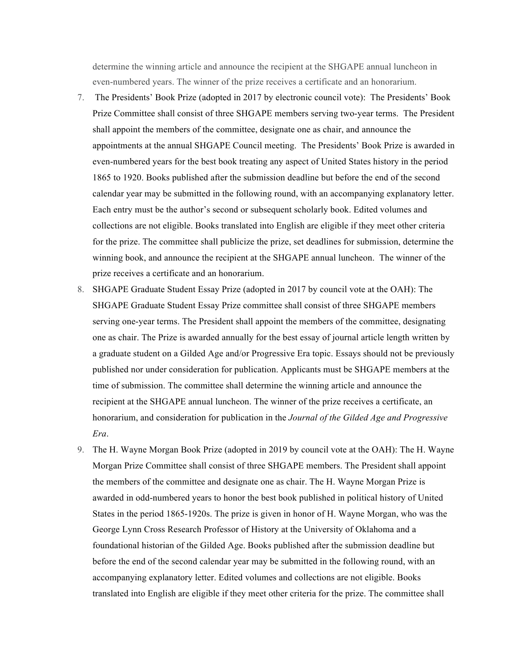determine the winning article and announce the recipient at the SHGAPE annual luncheon in even-numbered years. The winner of the prize receives a certificate and an honorarium.

- 7. The Presidents' Book Prize (adopted in 2017 by electronic council vote): The Presidents' Book Prize Committee shall consist of three SHGAPE members serving two-year terms. The President shall appoint the members of the committee, designate one as chair, and announce the appointments at the annual SHGAPE Council meeting. The Presidents' Book Prize is awarded in even-numbered years for the best book treating any aspect of United States history in the period 1865 to 1920. Books published after the submission deadline but before the end of the second calendar year may be submitted in the following round, with an accompanying explanatory letter. Each entry must be the author's second or subsequent scholarly book. Edited volumes and collections are not eligible. Books translated into English are eligible if they meet other criteria for the prize. The committee shall publicize the prize, set deadlines for submission, determine the winning book, and announce the recipient at the SHGAPE annual luncheon. The winner of the prize receives a certificate and an honorarium.
- 8. SHGAPE Graduate Student Essay Prize (adopted in 2017 by council vote at the OAH): The SHGAPE Graduate Student Essay Prize committee shall consist of three SHGAPE members serving one-year terms. The President shall appoint the members of the committee, designating one as chair. The Prize is awarded annually for the best essay of journal article length written by a graduate student on a Gilded Age and/or Progressive Era topic. Essays should not be previously published nor under consideration for publication. Applicants must be SHGAPE members at the time of submission. The committee shall determine the winning article and announce the recipient at the SHGAPE annual luncheon. The winner of the prize receives a certificate, an honorarium, and consideration for publication in the *Journal of the Gilded Age and Progressive Era*.
- 9. The H. Wayne Morgan Book Prize (adopted in 2019 by council vote at the OAH): The H. Wayne Morgan Prize Committee shall consist of three SHGAPE members. The President shall appoint the members of the committee and designate one as chair. The H. Wayne Morgan Prize is awarded in odd-numbered years to honor the best book published in political history of United States in the period 1865-1920s. The prize is given in honor of H. Wayne Morgan, who was the George Lynn Cross Research Professor of History at the University of Oklahoma and a foundational historian of the Gilded Age. Books published after the submission deadline but before the end of the second calendar year may be submitted in the following round, with an accompanying explanatory letter. Edited volumes and collections are not eligible. Books translated into English are eligible if they meet other criteria for the prize. The committee shall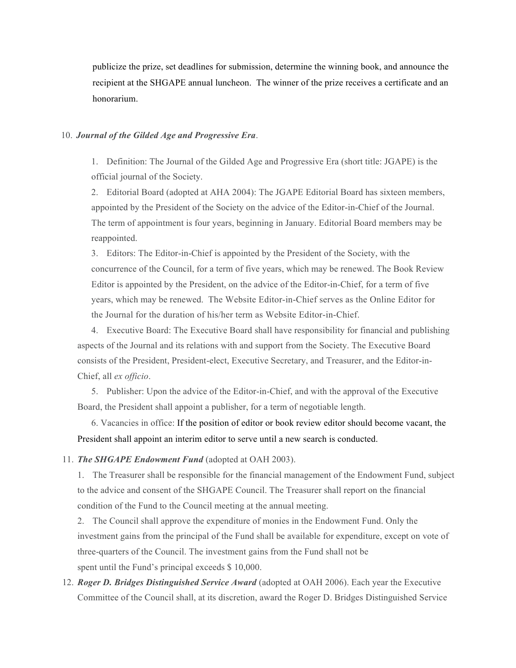publicize the prize, set deadlines for submission, determine the winning book, and announce the recipient at the SHGAPE annual luncheon. The winner of the prize receives a certificate and an honorarium.

#### 10. *Journal of the Gilded Age and Progressive Era*.

1. Definition: The Journal of the Gilded Age and Progressive Era (short title: JGAPE) is the official journal of the Society.

2. Editorial Board (adopted at AHA 2004): The JGAPE Editorial Board has sixteen members, appointed by the President of the Society on the advice of the Editor-in-Chief of the Journal. The term of appointment is four years, beginning in January. Editorial Board members may be reappointed.

3. Editors: The Editor-in-Chief is appointed by the President of the Society, with the concurrence of the Council, for a term of five years, which may be renewed. The Book Review Editor is appointed by the President, on the advice of the Editor-in-Chief, for a term of five years, which may be renewed. The Website Editor-in-Chief serves as the Online Editor for the Journal for the duration of his/her term as Website Editor-in-Chief.

4. Executive Board: The Executive Board shall have responsibility for financial and publishing aspects of the Journal and its relations with and support from the Society. The Executive Board consists of the President, President-elect, Executive Secretary, and Treasurer, and the Editor-in-Chief, all *ex officio*.

5. Publisher: Upon the advice of the Editor-in-Chief, and with the approval of the Executive Board, the President shall appoint a publisher, for a term of negotiable length.

6. Vacancies in office: If the position of editor or book review editor should become vacant, the President shall appoint an interim editor to serve until a new search is conducted.

### 11. *The SHGAPE Endowment Fund* (adopted at OAH 2003).

1. The Treasurer shall be responsible for the financial management of the Endowment Fund, subject to the advice and consent of the SHGAPE Council. The Treasurer shall report on the financial condition of the Fund to the Council meeting at the annual meeting.

2. The Council shall approve the expenditure of monies in the Endowment Fund. Only the investment gains from the principal of the Fund shall be available for expenditure, except on vote of three-quarters of the Council. The investment gains from the Fund shall not be spent until the Fund's principal exceeds \$ 10,000.

12. *Roger D. Bridges Distinguished Service Award* (adopted at OAH 2006). Each year the Executive Committee of the Council shall, at its discretion, award the Roger D. Bridges Distinguished Service